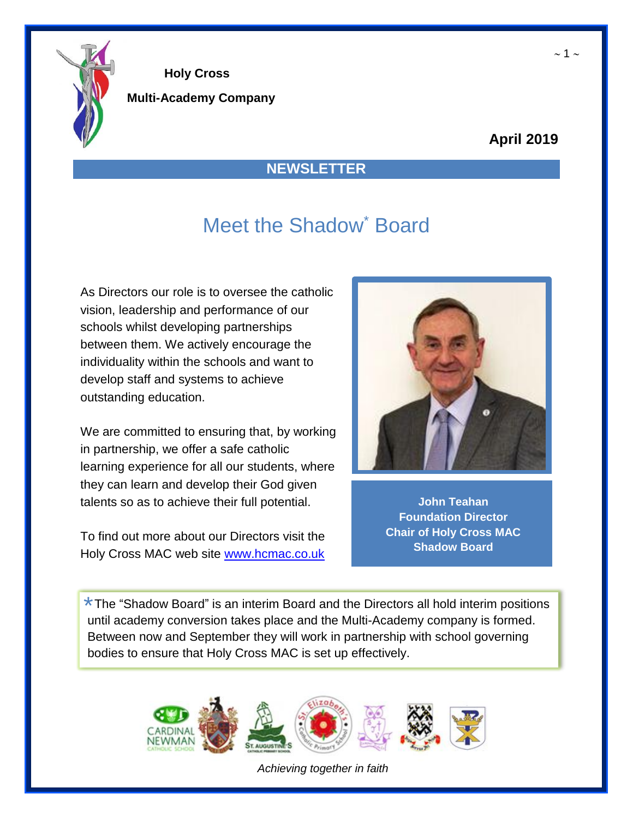

**Multi-Academy Company**

### **April 2019**

### **NEWSLETTER**

# Meet the Shadow<sup>\*</sup> Board

As Directors our role is to oversee the catholic vision, leadership and performance of our schools whilst developing partnerships between them. We actively encourage the individuality within the schools and want to develop staff and systems to achieve outstanding education.

We are committed to ensuring that, by working in partnership, we offer a safe catholic learning experience for all our students, where they can learn and develop their God given talents so as to achieve their full potential.

To find out more about our Directors visit the Holy Cross MAC web site [www.hcmac.co.uk](http://www.hcmac.co.uk/)



**John Teahan Foundation Director Chair of Holy Cross MAC Shadow Board**

\* The "Shadow Board" is an interim Board and the Directors all hold interim positions<br>until academy conversion takes also and the Multi Academy company is formed until academy conversion takes place and the Multi-Academy company is formed. Between now and September they will work in partnership with school governing bodies to ensure that Holy Cross MAC is set up effectively.



*Achieving together in faith*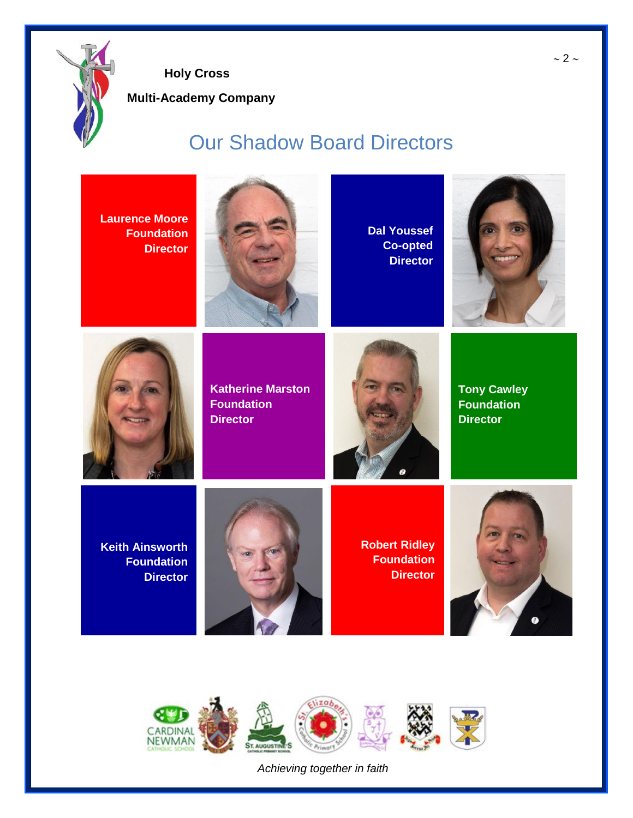

**Multi-Academy Company**

# Our Shadow Board Directors

**Laurence Moore Foundation Director**



**Dal Youssef Co-opted Director**





**Katherine Marston Foundation Director**



**Tony Cawley Foundation Director**

**Keith Ainsworth Foundation Director**



**Robert Ridley Foundation Director**





*Achieving together in faith*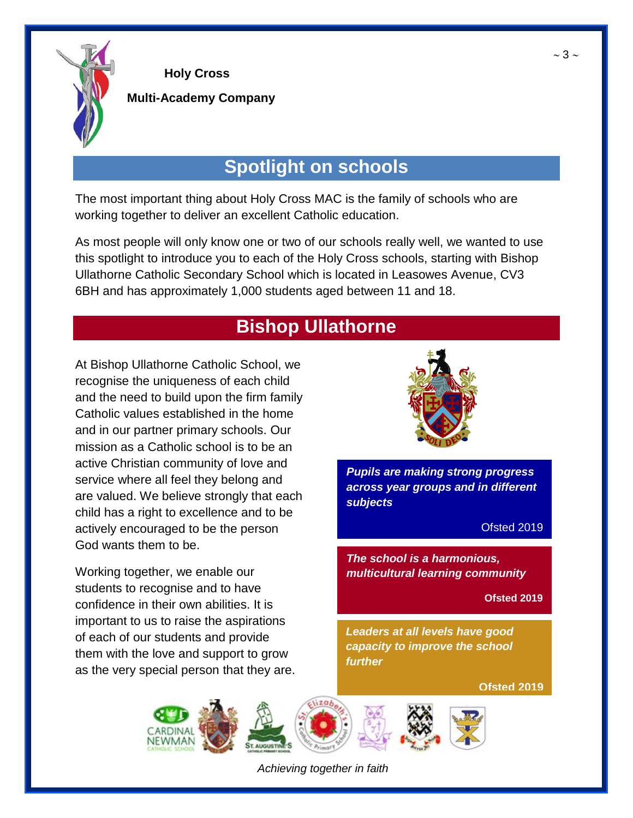

#### **Multi-Academy Company**

## **Spotlight on schools**

The most important thing about Holy Cross MAC is the family of schools who are working together to deliver an excellent Catholic education.

 6BH and has approximately 1,000 students aged between 11 and 18. As most people will only know one or two of our schools really well, we wanted to use this spotlight to introduce you to each of the Holy Cross schools, starting with Bishop Ullathorne Catholic Secondary School which is located in Leasowes Avenue, CV3

## **Bishop Ullathorne**

At Bishop Ullathorne Catholic School, we recognise the uniqueness of each child and the need to build upon the firm family Catholic values established in the home and in our partner primary schools. Our mission as a Catholic school is to be an active Christian community of love and service where all feel they belong and are valued. We believe strongly that each child has a right to excellence and to be actively encouraged to be the person God wants them to be.

Working together, we enable our students to recognise and to have confidence in their own abilities. It is important to us to raise the aspirations of each of our students and provide them with the love and support to grow as the very special person that they are.



*Pupils are making strong progress across year groups and in different subjects*

Ofsted 2019

*The school is a harmonious, multicultural learning community*

**Ofsted 2019**

*Leaders at all levels have good capacity to improve the school further*

**Ofsted 2019**



*Achieving together in faith*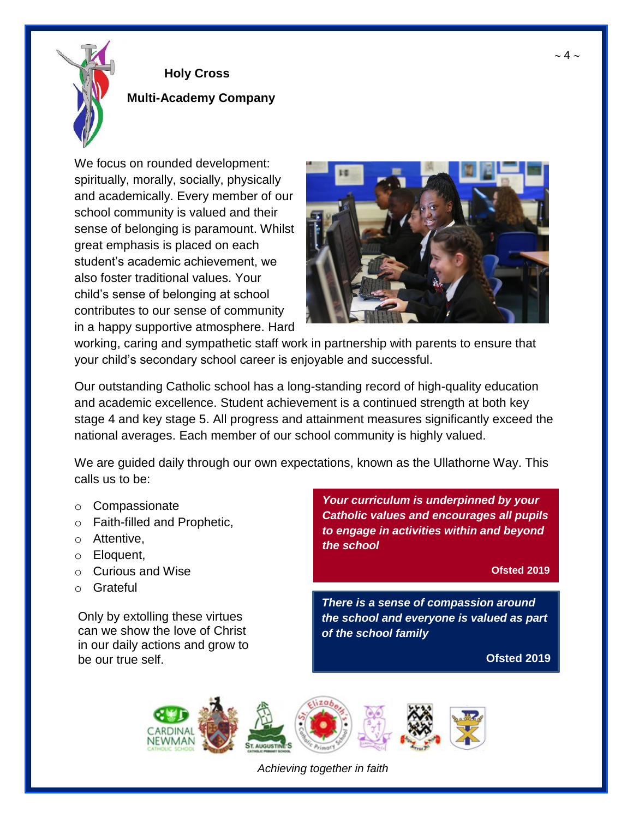

#### **Multi-Academy Company**

We focus on rounded development: spiritually, morally, socially, physically and academically. Every member of our school community is valued and their sense of belonging is paramount. Whilst great emphasis is placed on each student's academic achievement, we also foster traditional values. Your child's sense of belonging at school contributes to our sense of community in a happy supportive atmosphere. Hard



working, caring and sympathetic staff work in partnership with parents to ensure that your child's secondary school career is enjoyable and successful.

Our outstanding Catholic school has a long-standing record of high-quality education and academic excellence. Student achievement is a continued strength at both key stage 4 and key stage 5. All progress and attainment measures significantly exceed the national averages. Each member of our school community is highly valued.

We are guided daily through our own expectations, known as the Ullathorne Way. This calls us to be:

- o Compassionate
- o Faith-filled and Prophetic,
- o Attentive,
- o Eloquent,
- o Curious and Wise
- o Grateful

Only by extolling these virtues can we show the love of Christ in our daily actions and grow to be our true self.

*Your curriculum is underpinned by your Catholic values and encourages all pupils to engage in activities within and beyond the school*

**Ofsted 2019**

*There is a sense of compassion around the school and everyone is valued as part of the school family*

**Ofsted 2019**



*Achieving together in faith*